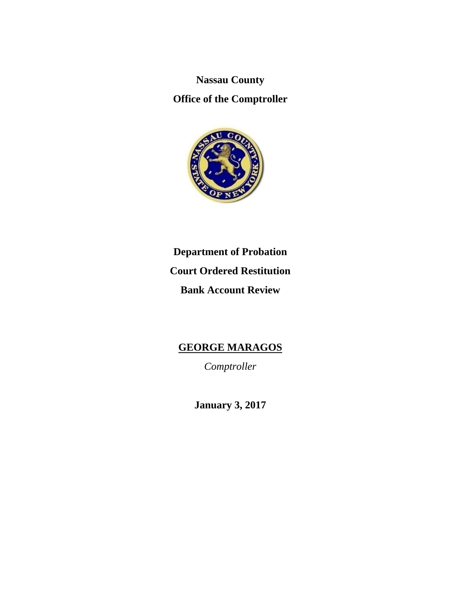**Nassau County** 

**Office of the Comptroller** 



# **Department of Probation Court Ordered Restitution Bank Account Review**

# **GEORGE MARAGOS**

*Comptroller* 

**January 3, 2017**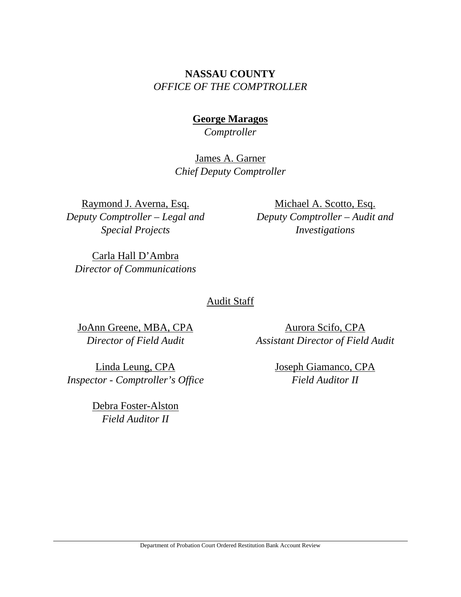# **NASSAU COUNTY**  *OFFICE OF THE COMPTROLLER*

### **George Maragos**

*Comptroller* 

James A. Garner *Chief Deputy Comptroller*

Raymond J. Averna, Esq. *Deputy Comptroller – Legal and Special Projects* 

Michael A. Scotto, Esq. *Deputy Comptroller – Audit and Investigations* 

Carla Hall D'Ambra *Director of Communications* 

### Audit Staff

JoAnn Greene, MBA, CPA *Director of Field Audit* 

Linda Leung, CPA *Inspector - Comptroller's Office* 

> Debra Foster-Alston *Field Auditor II*

Aurora Scifo, CPA *Assistant Director of Field Audit* 

> Joseph Giamanco, CPA *Field Auditor II*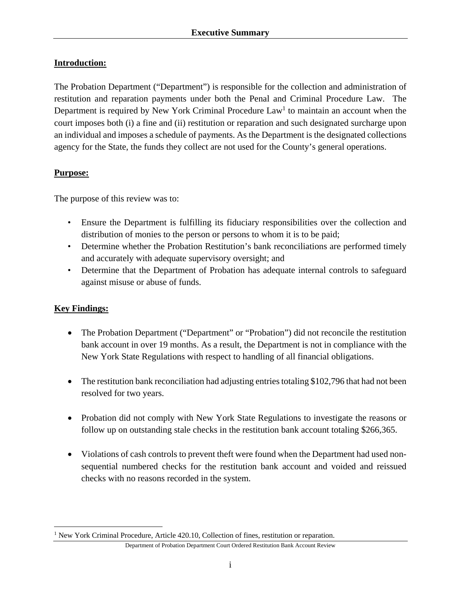### **Introduction:**

The Probation Department ("Department") is responsible for the collection and administration of restitution and reparation payments under both the Penal and Criminal Procedure Law. The Department is required by New York Criminal Procedure  $Law<sup>1</sup>$  to maintain an account when the court imposes both (i) a fine and (ii) restitution or reparation and such designated surcharge upon an individual and imposes a schedule of payments. As the Department is the designated collections agency for the State, the funds they collect are not used for the County's general operations.

### **Purpose:**

The purpose of this review was to:

- Ensure the Department is fulfilling its fiduciary responsibilities over the collection and distribution of monies to the person or persons to whom it is to be paid;
- Determine whether the Probation Restitution's bank reconciliations are performed timely and accurately with adequate supervisory oversight; and
- Determine that the Department of Probation has adequate internal controls to safeguard against misuse or abuse of funds.

### **Key Findings:**

 $\overline{a}$ 

- The Probation Department ("Department" or "Probation") did not reconcile the restitution bank account in over 19 months. As a result, the Department is not in compliance with the New York State Regulations with respect to handling of all financial obligations.
- The restitution bank reconciliation had adjusting entries totaling \$102,796 that had not been resolved for two years.
- Probation did not comply with New York State Regulations to investigate the reasons or follow up on outstanding stale checks in the restitution bank account totaling \$266,365.
- Violations of cash controls to prevent theft were found when the Department had used nonsequential numbered checks for the restitution bank account and voided and reissued checks with no reasons recorded in the system.

<sup>&</sup>lt;sup>1</sup> New York Criminal Procedure, Article 420.10, Collection of fines, restitution or reparation.

Department of Probation Department Court Ordered Restitution Bank Account Review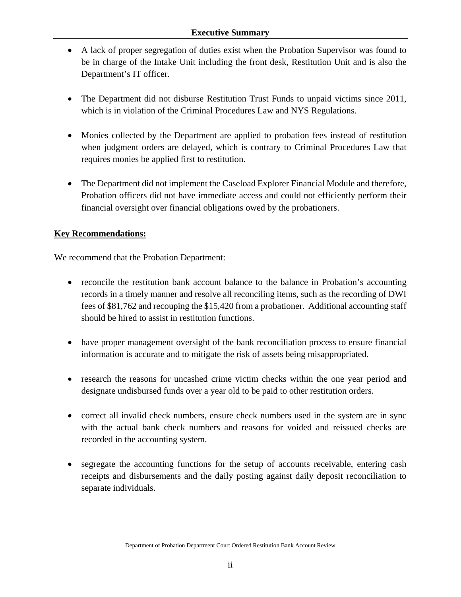- A lack of proper segregation of duties exist when the Probation Supervisor was found to be in charge of the Intake Unit including the front desk, Restitution Unit and is also the Department's IT officer.
- The Department did not disburse Restitution Trust Funds to unpaid victims since 2011, which is in violation of the Criminal Procedures Law and NYS Regulations.
- Monies collected by the Department are applied to probation fees instead of restitution when judgment orders are delayed, which is contrary to Criminal Procedures Law that requires monies be applied first to restitution.
- The Department did not implement the Caseload Explorer Financial Module and therefore, Probation officers did not have immediate access and could not efficiently perform their financial oversight over financial obligations owed by the probationers.

### **Key Recommendations:**

We recommend that the Probation Department:

- reconcile the restitution bank account balance to the balance in Probation's accounting records in a timely manner and resolve all reconciling items, such as the recording of DWI fees of \$81,762 and recouping the \$15,420 from a probationer. Additional accounting staff should be hired to assist in restitution functions.
- have proper management oversight of the bank reconciliation process to ensure financial information is accurate and to mitigate the risk of assets being misappropriated.
- research the reasons for uncashed crime victim checks within the one year period and designate undisbursed funds over a year old to be paid to other restitution orders.
- correct all invalid check numbers, ensure check numbers used in the system are in sync with the actual bank check numbers and reasons for voided and reissued checks are recorded in the accounting system.
- segregate the accounting functions for the setup of accounts receivable, entering cash receipts and disbursements and the daily posting against daily deposit reconciliation to separate individuals.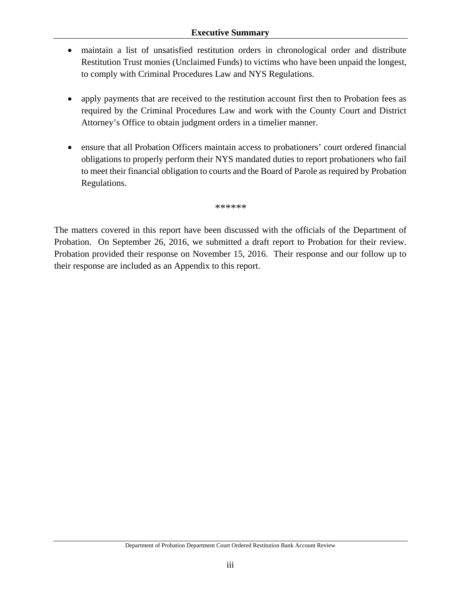#### **Executive Summary**

- maintain a list of unsatisfied restitution orders in chronological order and distribute Restitution Trust monies (Unclaimed Funds) to victims who have been unpaid the longest, to comply with Criminal Procedures Law and NYS Regulations.
- apply payments that are received to the restitution account first then to Probation fees as required by the Criminal Procedures Law and work with the County Court and District Attorney's Office to obtain judgment orders in a timelier manner.
- ensure that all Probation Officers maintain access to probationers' court ordered financial obligations to properly perform their NYS mandated duties to report probationers who fail to meet their financial obligation to courts and the Board of Parole as required by Probation Regulations.

*\*\*\*\*\*\** 

The matters covered in this report have been discussed with the officials of the Department of Probation. On September 26, 2016, we submitted a draft report to Probation for their review. Probation provided their response on November 15, 2016. Their response and our follow up to their response are included as an Appendix to this report.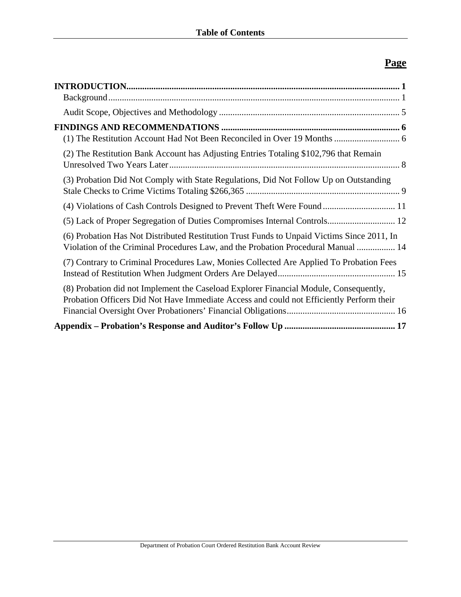# **Page**

| (2) The Restitution Bank Account has Adjusting Entries Totaling \$102,796 that Remain                                                                                             |
|-----------------------------------------------------------------------------------------------------------------------------------------------------------------------------------|
| (3) Probation Did Not Comply with State Regulations, Did Not Follow Up on Outstanding                                                                                             |
|                                                                                                                                                                                   |
| (5) Lack of Proper Segregation of Duties Compromises Internal Controls 12                                                                                                         |
| (6) Probation Has Not Distributed Restitution Trust Funds to Unpaid Victims Since 2011, In<br>Violation of the Criminal Procedures Law, and the Probation Procedural Manual  14   |
| (7) Contrary to Criminal Procedures Law, Monies Collected Are Applied To Probation Fees                                                                                           |
| (8) Probation did not Implement the Caseload Explorer Financial Module, Consequently,<br>Probation Officers Did Not Have Immediate Access and could not Efficiently Perform their |
|                                                                                                                                                                                   |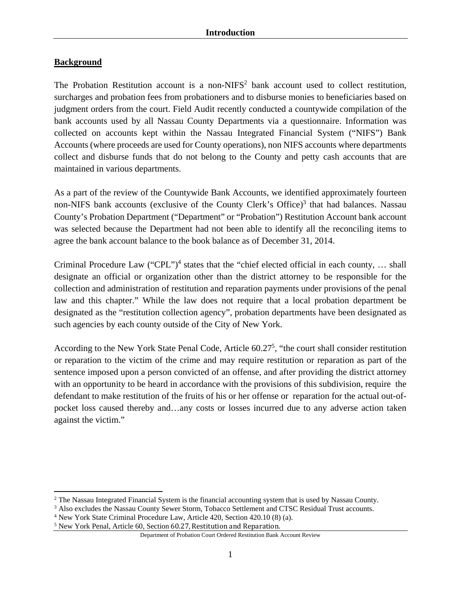### **Background**

 $\overline{a}$ 

The Probation Restitution account is a non-NIFS<sup>2</sup> bank account used to collect restitution, surcharges and probation fees from probationers and to disburse monies to beneficiaries based on judgment orders from the court. Field Audit recently conducted a countywide compilation of the bank accounts used by all Nassau County Departments via a questionnaire. Information was collected on accounts kept within the Nassau Integrated Financial System ("NIFS") Bank Accounts (where proceeds are used for County operations), non NIFS accounts where departments collect and disburse funds that do not belong to the County and petty cash accounts that are maintained in various departments.

As a part of the review of the Countywide Bank Accounts, we identified approximately fourteen non-NIFS bank accounts (exclusive of the County Clerk's Office)<sup>3</sup> that had balances. Nassau County's Probation Department ("Department" or "Probation") Restitution Account bank account was selected because the Department had not been able to identify all the reconciling items to agree the bank account balance to the book balance as of December 31, 2014.

Criminal Procedure Law ("CPL")<sup>4</sup> states that the "chief elected official in each county, ... shall designate an official or organization other than the district attorney to be responsible for the collection and administration of restitution and reparation payments under provisions of the penal law and this chapter." While the law does not require that a local probation department be designated as the "restitution collection agency", probation departments have been designated as such agencies by each county outside of the City of New York.

According to the New York State Penal Code, Article 60.27<sup>5</sup>, "the court shall consider restitution or reparation to the victim of the crime and may require restitution or reparation as part of the sentence imposed upon a person convicted of an offense, and after providing the district attorney with an opportunity to be heard in accordance with the provisions of this subdivision, require the defendant to make restitution of the fruits of his or her offense or reparation for the actual out-ofpocket loss caused thereby and…any costs or losses incurred due to any adverse action taken against the victim."

<sup>&</sup>lt;sup>2</sup> The Nassau Integrated Financial System is the financial accounting system that is used by Nassau County.<br><sup>3</sup> Also excludes the Nassau County Sewer Storm. Tobacco Settlement and CTSC Residual Trust accounts.

<sup>&</sup>lt;sup>3</sup> Also excludes the Nassau County Sewer Storm, Tobacco Settlement and CTSC Residual Trust accounts.

<sup>&</sup>lt;sup>4</sup> New York State Criminal Procedure Law, Article 420, Section 420.10 (8) (a).

<sup>&</sup>lt;sup>5</sup> New York Penal, Article 60, Section 60.27, Restitution and Reparation.

Department of Probation Court Ordered Restitution Bank Account Review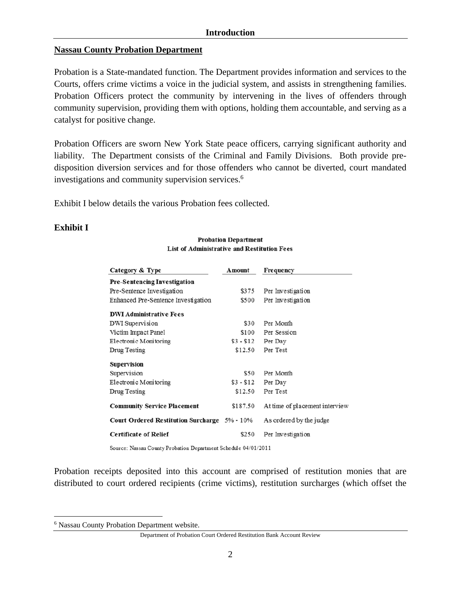#### **Introduction**

#### **Nassau County Probation Department**

Probation is a State-mandated function. The Department provides information and services to the Courts, offers crime victims a voice in the judicial system, and assists in strengthening families. Probation Officers protect the community by intervening in the lives of offenders through community supervision, providing them with options, holding them accountable, and serving as a catalyst for positive change.

Probation Officers are sworn New York State peace officers, carrying significant authority and liability. The Department consists of the Criminal and Family Divisions. Both provide predisposition diversion services and for those offenders who cannot be diverted, court mandated investigations and community supervision services.<sup>6</sup>

Exhibit I below details the various Probation fees collected.

#### **Exhibit I**

| Category & Type                              | Amount     | Frequency                      |
|----------------------------------------------|------------|--------------------------------|
| Pre-Sentencing Investigation                 |            |                                |
| Pre-Sentence Investigation                   | \$375      | Per Investigation              |
| Enhanced Pre-Sentence Investigation          | \$500      | Per Investigation              |
| <b>DWI Administrative Fees</b>               |            |                                |
| DWI Supervision                              | \$30       | Per Month                      |
| Victim Impact Panel                          | \$100      | Per Session                    |
| Electronic Monitoring                        | $$3 - $12$ | Per Day                        |
| Drug Testing                                 | \$12.50    | Per Test                       |
| Supervision                                  |            |                                |
| Supervision                                  | \$50       | Per Month                      |
| Electronic Monitoring                        | $$3 - $12$ | Per Day                        |
| Drug Testing                                 | \$12.50    | Per Test                       |
| <b>Community Service Placement</b>           | \$187.50   | At time of placement interview |
| Court Ordered Restitution Surcharge 5% - 10% |            | As ordered by the judge        |
| <b>Certificate of Relief</b>                 | \$250      | Per Investigation              |

**Probation Department** List of Administrative and Restitution Fees

Source: Nassau County Probation Department Schedule 04/01/2011

Probation receipts deposited into this account are comprised of restitution monies that are distributed to court ordered recipients (crime victims), restitution surcharges (which offset the

1

<sup>6</sup> Nassau County Probation Department website.

Department of Probation Court Ordered Restitution Bank Account Review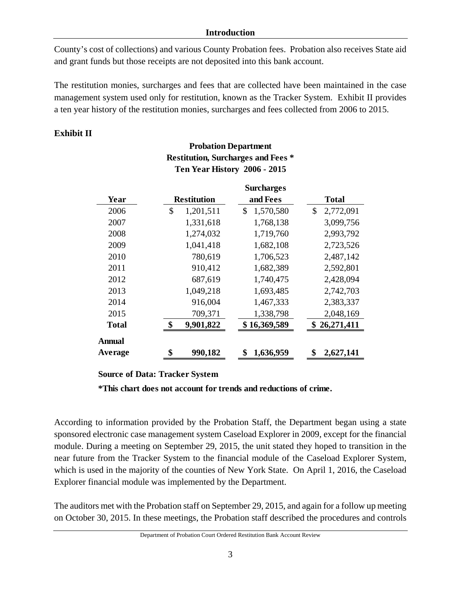#### **Introduction**

County's cost of collections) and various County Probation fees. Probation also receives State aid and grant funds but those receipts are not deposited into this bank account.

The restitution monies, surcharges and fees that are collected have been maintained in the case management system used only for restitution, known as the Tracker System. Exhibit II provides a ten year history of the restitution monies, surcharges and fees collected from 2006 to 2015.

### **Exhibit II**

|               |                    | <b>Surcharges</b> |                 |  |
|---------------|--------------------|-------------------|-----------------|--|
| Year          | <b>Restitution</b> | and Fees          | <b>Total</b>    |  |
| 2006          | 1,201,511<br>\$    | \$<br>1,570,580   | 2,772,091<br>\$ |  |
| 2007          | 1,331,618          | 1,768,138         | 3,099,756       |  |
| 2008          | 1,274,032          | 1,719,760         | 2,993,792       |  |
| 2009          | 1,041,418          | 1,682,108         | 2,723,526       |  |
| 2010          | 780,619            | 1,706,523         | 2,487,142       |  |
| 2011          | 910,412            | 1,682,389         | 2,592,801       |  |
| 2012          | 687,619            | 1,740,475         | 2,428,094       |  |
| 2013          | 1,049,218          | 1,693,485         | 2,742,703       |  |
| 2014          | 916,004            | 1,467,333         | 2,383,337       |  |
| 2015          | 709,371            | 1,338,798         | 2,048,169       |  |
| <b>Total</b>  | \$<br>9,901,822    | \$16,369,589      | \$26,271,411    |  |
| <b>Annual</b> |                    |                   |                 |  |
| Average       | \$<br>990,182      | \$<br>1,636,959   | \$<br>2,627,141 |  |

## **Probation Department Restitution, Surcharges and Fees \* Ten Year History 2006 - 2015**

#### **Source of Data: Tracker System**

**\*This chart does not account for trends and reductions of crime.**

According to information provided by the Probation Staff, the Department began using a state sponsored electronic case management system Caseload Explorer in 2009, except for the financial module. During a meeting on September 29, 2015, the unit stated they hoped to transition in the near future from the Tracker System to the financial module of the Caseload Explorer System, which is used in the majority of the counties of New York State. On April 1, 2016, the Caseload Explorer financial module was implemented by the Department.

The auditors met with the Probation staff on September 29, 2015, and again for a follow up meeting on October 30, 2015. In these meetings, the Probation staff described the procedures and controls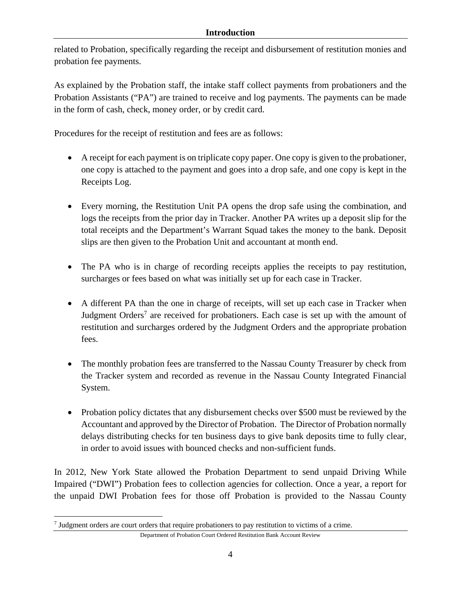related to Probation, specifically regarding the receipt and disbursement of restitution monies and probation fee payments.

As explained by the Probation staff, the intake staff collect payments from probationers and the Probation Assistants ("PA") are trained to receive and log payments. The payments can be made in the form of cash, check, money order, or by credit card.

Procedures for the receipt of restitution and fees are as follows:

- A receipt for each payment is on triplicate copy paper. One copy is given to the probationer, one copy is attached to the payment and goes into a drop safe, and one copy is kept in the Receipts Log.
- Every morning, the Restitution Unit PA opens the drop safe using the combination, and logs the receipts from the prior day in Tracker. Another PA writes up a deposit slip for the total receipts and the Department's Warrant Squad takes the money to the bank. Deposit slips are then given to the Probation Unit and accountant at month end.
- The PA who is in charge of recording receipts applies the receipts to pay restitution, surcharges or fees based on what was initially set up for each case in Tracker.
- A different PA than the one in charge of receipts, will set up each case in Tracker when Judgment Orders<sup>7</sup> are received for probationers. Each case is set up with the amount of restitution and surcharges ordered by the Judgment Orders and the appropriate probation fees.
- The monthly probation fees are transferred to the Nassau County Treasurer by check from the Tracker system and recorded as revenue in the Nassau County Integrated Financial System.
- Probation policy dictates that any disbursement checks over \$500 must be reviewed by the Accountant and approved by the Director of Probation. The Director of Probation normally delays distributing checks for ten business days to give bank deposits time to fully clear, in order to avoid issues with bounced checks and non-sufficient funds.

In 2012, New York State allowed the Probation Department to send unpaid Driving While Impaired ("DWI") Probation fees to collection agencies for collection. Once a year, a report for the unpaid DWI Probation fees for those off Probation is provided to the Nassau County

 $\overline{a}$ 

<sup>7</sup> Judgment orders are court orders that require probationers to pay restitution to victims of a crime.

Department of Probation Court Ordered Restitution Bank Account Review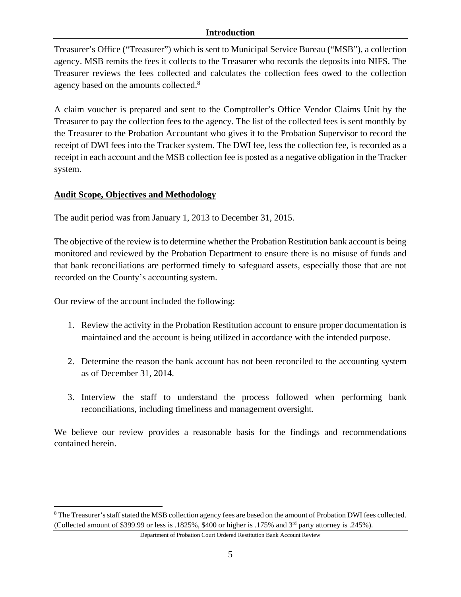#### **Introduction**

Treasurer's Office ("Treasurer") which is sent to Municipal Service Bureau ("MSB"), a collection agency. MSB remits the fees it collects to the Treasurer who records the deposits into NIFS. The Treasurer reviews the fees collected and calculates the collection fees owed to the collection agency based on the amounts collected.<sup>8</sup>

A claim voucher is prepared and sent to the Comptroller's Office Vendor Claims Unit by the Treasurer to pay the collection fees to the agency. The list of the collected fees is sent monthly by the Treasurer to the Probation Accountant who gives it to the Probation Supervisor to record the receipt of DWI fees into the Tracker system. The DWI fee, less the collection fee, is recorded as a receipt in each account and the MSB collection fee is posted as a negative obligation in the Tracker system.

### **Audit Scope, Objectives and Methodology**

The audit period was from January 1, 2013 to December 31, 2015.

The objective of the review is to determine whether the Probation Restitution bank account is being monitored and reviewed by the Probation Department to ensure there is no misuse of funds and that bank reconciliations are performed timely to safeguard assets, especially those that are not recorded on the County's accounting system.

Our review of the account included the following:

 $\overline{a}$ 

- 1. Review the activity in the Probation Restitution account to ensure proper documentation is maintained and the account is being utilized in accordance with the intended purpose.
- 2. Determine the reason the bank account has not been reconciled to the accounting system as of December 31, 2014.
- 3. Interview the staff to understand the process followed when performing bank reconciliations, including timeliness and management oversight.

We believe our review provides a reasonable basis for the findings and recommendations contained herein.

<sup>&</sup>lt;sup>8</sup> The Treasurer's staff stated the MSB collection agency fees are based on the amount of Probation DWI fees collected. (Collected amount of \$399.99 or less is .1825%, \$400 or higher is .175% and 3rd party attorney is .245%).

Department of Probation Court Ordered Restitution Bank Account Review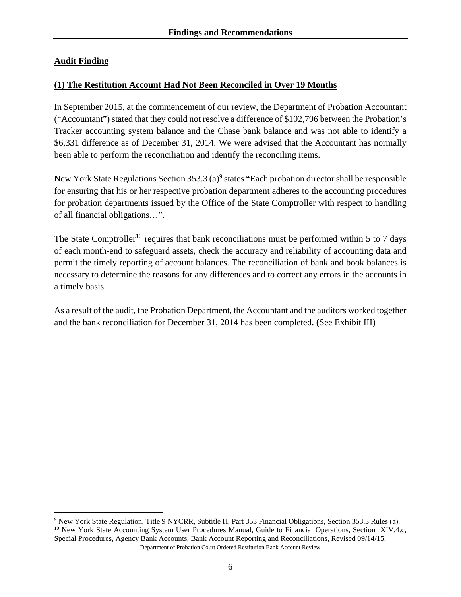### **Audit Finding**

 $\overline{a}$ 

### **(1) The Restitution Account Had Not Been Reconciled in Over 19 Months**

In September 2015, at the commencement of our review, the Department of Probation Accountant ("Accountant") stated that they could not resolve a difference of \$102,796 between the Probation's Tracker accounting system balance and the Chase bank balance and was not able to identify a \$6,331 difference as of December 31, 2014. We were advised that the Accountant has normally been able to perform the reconciliation and identify the reconciling items.

New York State Regulations Section  $353.3$  (a)<sup>9</sup> states "Each probation director shall be responsible for ensuring that his or her respective probation department adheres to the accounting procedures for probation departments issued by the Office of the State Comptroller with respect to handling of all financial obligations…".

The State Comptroller<sup>10</sup> requires that bank reconciliations must be performed within 5 to 7 days of each month-end to safeguard assets, check the accuracy and reliability of accounting data and permit the timely reporting of account balances. The reconciliation of bank and book balances is necessary to determine the reasons for any differences and to correct any errors in the accounts in a timely basis.

As a result of the audit, the Probation Department, the Accountant and the auditors worked together and the bank reconciliation for December 31, 2014 has been completed. (See Exhibit III)

<sup>9</sup> New York State Regulation, Title 9 NYCRR, Subtitle H, Part 353 Financial Obligations, Section 353.3 Rules (a).  $10$  New York State Accounting System User Procedures Manual, Guide to Financial Operations, Section XIV.4.c, Special Procedures, Agency Bank Accounts, Bank Account Reporting and Reconciliations, Revised 09/14/15.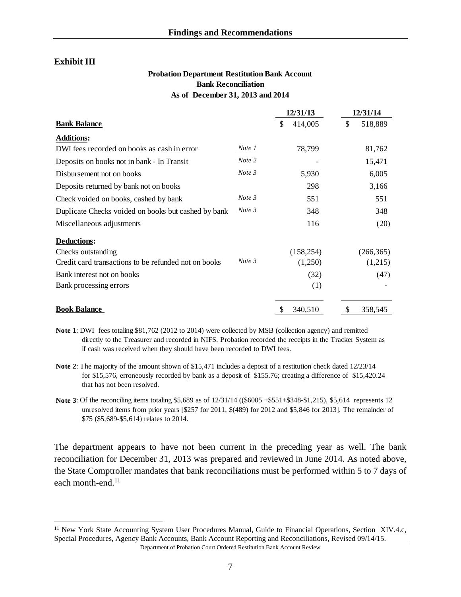#### **Exhibit III**

 $\overline{a}$ 

#### **Probation Department Restitution Bank Account Bank Reconciliation As of December 31, 2013 and 2014**

|                                                      |        | 12/31/13      | 12/31/14      |
|------------------------------------------------------|--------|---------------|---------------|
| <b>Bank Balance</b>                                  |        | \$<br>414,005 | 518,889<br>\$ |
| <b>Additions:</b>                                    |        |               |               |
| DWI fees recorded on books as cash in error          | Note 1 | 78,799        | 81,762        |
| Deposits on books not in bank - In Transit           | Note 2 |               | 15,471        |
| Disbursement not on books                            | Note 3 | 5,930         | 6,005         |
| Deposits returned by bank not on books               |        | 298           | 3,166         |
| Check voided on books, cashed by bank                | Note 3 | 551           | 551           |
| Duplicate Checks voided on books but cashed by bank  | Note 3 | 348           | 348           |
| Miscellaneous adjustments                            |        | 116           | (20)          |
| <b>Deductions:</b>                                   |        |               |               |
| Checks outstanding                                   |        | (158, 254)    | (266, 365)    |
| Credit card transactions to be refunded not on books | Note 3 | (1,250)       | (1,215)       |
| Bank interest not on books                           |        | (32)          | (47)          |
| Bank processing errors                               |        | (1)           |               |
| <b>Book Balance</b>                                  |        | 340,510       | 358,545<br>S  |

**Note 1**: DWI fees totaling \$81,762 (2012 to 2014) were collected by MSB (collection agency) and remitted directly to the Treasurer and recorded in NIFS. Probation recorded the receipts in the Tracker System as if cash was received when they should have been recorded to DWI fees.

- **Note 2**: The majority of the amount shown of \$15,471 includes a deposit of a restitution check dated 12/23/14 for \$15,576, erroneously recorded by bank as a deposit of \$155.76; creating a difference of \$15,420.24 that has not been resolved.
- **Note 3**: Of the reconciling items totaling \$5,689 as of  $12/31/14$  ((\$6005 + \$551+\$348-\$1,215), \$5,614 represents 12 unresolved items from prior years [\$257 for 2011, \$(489) for 2012 and \$5,846 for 2013]. The remainder of \$75 (\$5,689-\$5,614) relates to 2014.

The department appears to have not been current in the preceding year as well. The bank reconciliation for December 31, 2013 was prepared and reviewed in June 2014. As noted above, the State Comptroller mandates that bank reconciliations must be performed within 5 to 7 days of each month-end.<sup>11</sup>

<sup>&</sup>lt;sup>11</sup> New York State Accounting System User Procedures Manual, Guide to Financial Operations, Section XIV.4.c, Special Procedures, Agency Bank Accounts, Bank Account Reporting and Reconciliations, Revised 09/14/15.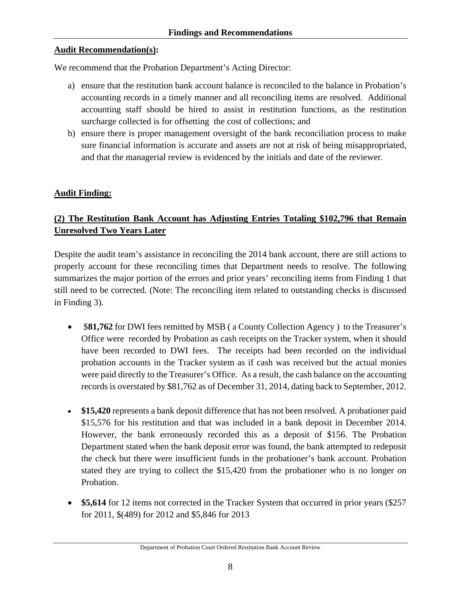### **Audit Recommendation(s):**

We recommend that the Probation Department's Acting Director:

- a) ensure that the restitution bank account balance is reconciled to the balance in Probation's accounting records in a timely manner and all reconciling items are resolved. Additional accounting staff should be hired to assist in restitution functions, as the restitution surcharge collected is for offsetting the cost of collections; and
- b) ensure there is proper management oversight of the bank reconciliation process to make sure financial information is accurate and assets are not at risk of being misappropriated, and that the managerial review is evidenced by the initials and date of the reviewer.

### **Audit Finding:**

### **(2) The Restitution Bank Account has Adjusting Entries Totaling \$102,796 that Remain Unresolved Two Years Later**

Despite the audit team's assistance in reconciling the 2014 bank account, there are still actions to properly account for these reconciling times that Department needs to resolve. The following summarizes the major portion of the errors and prior years' reconciling items from Finding 1 that still need to be corrected. (Note: The reconciling item related to outstanding checks is discussed in Finding 3).

- **\$81,762** for DWI fees remitted by MSB (a County Collection Agency) to the Treasurer's Office were recorded by Probation as cash receipts on the Tracker system, when it should have been recorded to DWI fees. The receipts had been recorded on the individual probation accounts in the Tracker system as if cash was received but the actual monies were paid directly to the Treasurer's Office. As a result, the cash balance on the accounting records is overstated by \$81,762 as of December 31, 2014, dating back to September, 2012.
- \$15,420 represents a bank deposit difference that has not been resolved. A probationer paid \$15,576 for his restitution and that was included in a bank deposit in December 2014. However, the bank erroneously recorded this as a deposit of \$156. The Probation Department stated when the bank deposit error was found, the bank attempted to redeposit the check but there were insufficient funds in the probationer's bank account. Probation stated they are trying to collect the \$15,420 from the probationer who is no longer on Probation.
- \$5,614 for 12 items not corrected in the Tracker System that occurred in prior years (\$257) for 2011, \$(489) for 2012 and \$5,846 for 2013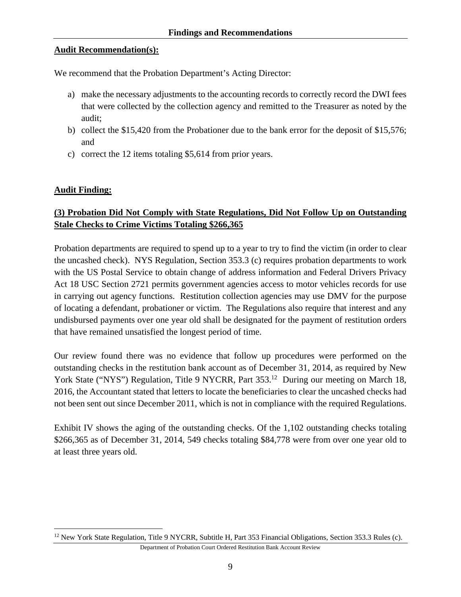### **Audit Recommendation(s):**

We recommend that the Probation Department's Acting Director:

- a) make the necessary adjustments to the accounting records to correctly record the DWI fees that were collected by the collection agency and remitted to the Treasurer as noted by the audit;
- b) collect the \$15,420 from the Probationer due to the bank error for the deposit of \$15,576; and
- c) correct the 12 items totaling \$5,614 from prior years.

### **Audit Finding:**

 $\overline{a}$ 

### **(3) Probation Did Not Comply with State Regulations, Did Not Follow Up on Outstanding Stale Checks to Crime Victims Totaling \$266,365**

Probation departments are required to spend up to a year to try to find the victim (in order to clear the uncashed check). NYS Regulation, Section 353.3 (c) requires probation departments to work with the US Postal Service to obtain change of address information and Federal Drivers Privacy Act 18 USC Section 2721 permits government agencies access to motor vehicles records for use in carrying out agency functions. Restitution collection agencies may use DMV for the purpose of locating a defendant, probationer or victim. The Regulations also require that interest and any undisbursed payments over one year old shall be designated for the payment of restitution orders that have remained unsatisfied the longest period of time.

Our review found there was no evidence that follow up procedures were performed on the outstanding checks in the restitution bank account as of December 31, 2014, as required by New York State ("NYS") Regulation, Title 9 NYCRR, Part 353.<sup>12</sup> During our meeting on March 18, 2016, the Accountant stated that letters to locate the beneficiaries to clear the uncashed checks had not been sent out since December 2011, which is not in compliance with the required Regulations.

Exhibit IV shows the aging of the outstanding checks. Of the 1,102 outstanding checks totaling \$266,365 as of December 31, 2014, 549 checks totaling \$84,778 were from over one year old to at least three years old.

<sup>&</sup>lt;sup>12</sup> New York State Regulation, Title 9 NYCRR, Subtitle H, Part 353 Financial Obligations, Section 353.3 Rules (c).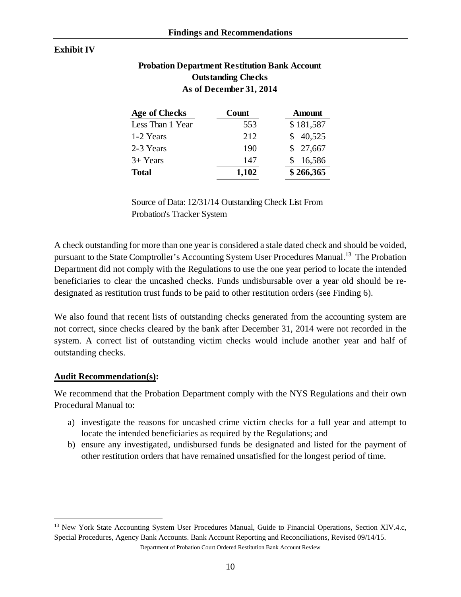#### **Exhibit IV**

### **Probation Department Restitution Bank Account Outstanding Checks As of December 31, 2014**

| Age of Checks    | Count | Amount    |
|------------------|-------|-----------|
| Less Than 1 Year | 553   | \$181,587 |
| 1-2 Years        | 212   | 40,525    |
| 2-3 Years        | 190   | \$27,667  |
| $3+$ Years       | 147   | 16,586    |
| <b>Total</b>     | 1,102 | \$266,365 |

Source of Data: 12/31/14 Outstanding Check List From Probation's Tracker System

A check outstanding for more than one year is considered a stale dated check and should be voided, pursuant to the State Comptroller's Accounting System User Procedures Manual.<sup>13</sup> The Probation Department did not comply with the Regulations to use the one year period to locate the intended beneficiaries to clear the uncashed checks. Funds undisbursable over a year old should be redesignated as restitution trust funds to be paid to other restitution orders (see Finding 6).

We also found that recent lists of outstanding checks generated from the accounting system are not correct, since checks cleared by the bank after December 31, 2014 were not recorded in the system. A correct list of outstanding victim checks would include another year and half of outstanding checks.

#### **Audit Recommendation(s):**

 $\overline{a}$ 

We recommend that the Probation Department comply with the NYS Regulations and their own Procedural Manual to:

- a) investigate the reasons for uncashed crime victim checks for a full year and attempt to locate the intended beneficiaries as required by the Regulations; and
- b) ensure any investigated, undisbursed funds be designated and listed for the payment of other restitution orders that have remained unsatisfied for the longest period of time.

<sup>&</sup>lt;sup>13</sup> New York State Accounting System User Procedures Manual, Guide to Financial Operations, Section XIV.4.c, Special Procedures, Agency Bank Accounts. Bank Account Reporting and Reconciliations, Revised 09/14/15.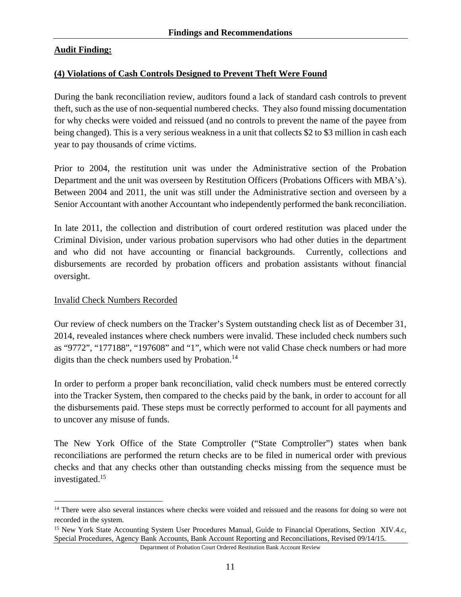### **Audit Finding:**

#### **(4) Violations of Cash Controls Designed to Prevent Theft Were Found**

During the bank reconciliation review, auditors found a lack of standard cash controls to prevent theft, such as the use of non-sequential numbered checks. They also found missing documentation for why checks were voided and reissued (and no controls to prevent the name of the payee from being changed). This is a very serious weakness in a unit that collects \$2 to \$3 million in cash each year to pay thousands of crime victims.

Prior to 2004, the restitution unit was under the Administrative section of the Probation Department and the unit was overseen by Restitution Officers (Probations Officers with MBA's). Between 2004 and 2011, the unit was still under the Administrative section and overseen by a Senior Accountant with another Accountant who independently performed the bank reconciliation.

In late 2011, the collection and distribution of court ordered restitution was placed under the Criminal Division, under various probation supervisors who had other duties in the department and who did not have accounting or financial backgrounds. Currently, collections and disbursements are recorded by probation officers and probation assistants without financial oversight.

#### Invalid Check Numbers Recorded

 $\overline{a}$ 

Our review of check numbers on the Tracker's System outstanding check list as of December 31, 2014, revealed instances where check numbers were invalid. These included check numbers such as "9772", "177188", "197608" and "1", which were not valid Chase check numbers or had more digits than the check numbers used by Probation.<sup>14</sup>

In order to perform a proper bank reconciliation, valid check numbers must be entered correctly into the Tracker System, then compared to the checks paid by the bank, in order to account for all the disbursements paid. These steps must be correctly performed to account for all payments and to uncover any misuse of funds.

The New York Office of the State Comptroller ("State Comptroller") states when bank reconciliations are performed the return checks are to be filed in numerical order with previous checks and that any checks other than outstanding checks missing from the sequence must be investigated.15

<sup>&</sup>lt;sup>14</sup> There were also several instances where checks were voided and reissued and the reasons for doing so were not recorded in the system.

<sup>&</sup>lt;sup>15</sup> New York State Accounting System User Procedures Manual, Guide to Financial Operations, Section XIV.4.c, Special Procedures, Agency Bank Accounts, Bank Account Reporting and Reconciliations, Revised 09/14/15.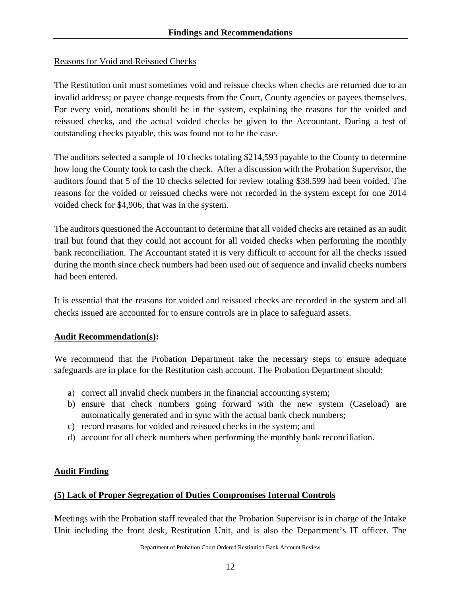### Reasons for Void and Reissued Checks

The Restitution unit must sometimes void and reissue checks when checks are returned due to an invalid address; or payee change requests from the Court, County agencies or payees themselves. For every void, notations should be in the system, explaining the reasons for the voided and reissued checks, and the actual voided checks be given to the Accountant. During a test of outstanding checks payable, this was found not to be the case.

The auditors selected a sample of 10 checks totaling \$214,593 payable to the County to determine how long the County took to cash the check. After a discussion with the Probation Supervisor, the auditors found that 5 of the 10 checks selected for review totaling \$38,599 had been voided. The reasons for the voided or reissued checks were not recorded in the system except for one 2014 voided check for \$4,906, that was in the system.

The auditors questioned the Accountant to determine that all voided checks are retained as an audit trail but found that they could not account for all voided checks when performing the monthly bank reconciliation. The Accountant stated it is very difficult to account for all the checks issued during the month since check numbers had been used out of sequence and invalid checks numbers had been entered.

It is essential that the reasons for voided and reissued checks are recorded in the system and all checks issued are accounted for to ensure controls are in place to safeguard assets.

### **Audit Recommendation(s):**

We recommend that the Probation Department take the necessary steps to ensure adequate safeguards are in place for the Restitution cash account. The Probation Department should:

- a) correct all invalid check numbers in the financial accounting system;
- b) ensure that check numbers going forward with the new system (Caseload) are automatically generated and in sync with the actual bank check numbers;
- c) record reasons for voided and reissued checks in the system; and
- d) account for all check numbers when performing the monthly bank reconciliation.

### **Audit Finding**

### **(5) Lack of Proper Segregation of Duties Compromises Internal Controls**

Meetings with the Probation staff revealed that the Probation Supervisor is in charge of the Intake Unit including the front desk, Restitution Unit, and is also the Department's IT officer. The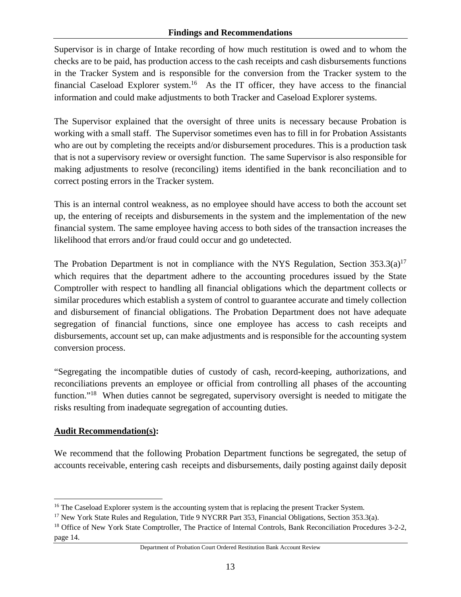Supervisor is in charge of Intake recording of how much restitution is owed and to whom the checks are to be paid, has production access to the cash receipts and cash disbursements functions in the Tracker System and is responsible for the conversion from the Tracker system to the financial Caseload Explorer system.<sup>16</sup> As the IT officer, they have access to the financial information and could make adjustments to both Tracker and Caseload Explorer systems.

The Supervisor explained that the oversight of three units is necessary because Probation is working with a small staff. The Supervisor sometimes even has to fill in for Probation Assistants who are out by completing the receipts and/or disbursement procedures. This is a production task that is not a supervisory review or oversight function. The same Supervisor is also responsible for making adjustments to resolve (reconciling) items identified in the bank reconciliation and to correct posting errors in the Tracker system.

This is an internal control weakness, as no employee should have access to both the account set up, the entering of receipts and disbursements in the system and the implementation of the new financial system. The same employee having access to both sides of the transaction increases the likelihood that errors and/or fraud could occur and go undetected.

The Probation Department is not in compliance with the NYS Regulation, Section  $353.3(a)^{17}$ which requires that the department adhere to the accounting procedures issued by the State Comptroller with respect to handling all financial obligations which the department collects or similar procedures which establish a system of control to guarantee accurate and timely collection and disbursement of financial obligations. The Probation Department does not have adequate segregation of financial functions, since one employee has access to cash receipts and disbursements, account set up, can make adjustments and is responsible for the accounting system conversion process.

"Segregating the incompatible duties of custody of cash, record-keeping, authorizations, and reconciliations prevents an employee or official from controlling all phases of the accounting function."<sup>18</sup> When duties cannot be segregated, supervisory oversight is needed to mitigate the risks resulting from inadequate segregation of accounting duties.

### **Audit Recommendation(s):**

<u>.</u>

We recommend that the following Probation Department functions be segregated, the setup of accounts receivable, entering cash receipts and disbursements, daily posting against daily deposit

<sup>&</sup>lt;sup>16</sup> The Caseload Explorer system is the accounting system that is replacing the present Tracker System.<br><sup>17</sup> New York State Rules and Regulation, Title 9 NYCRR Part 353, Financial Obligations, Section 353.3(a).<br><sup>18</sup> Offi

page 14.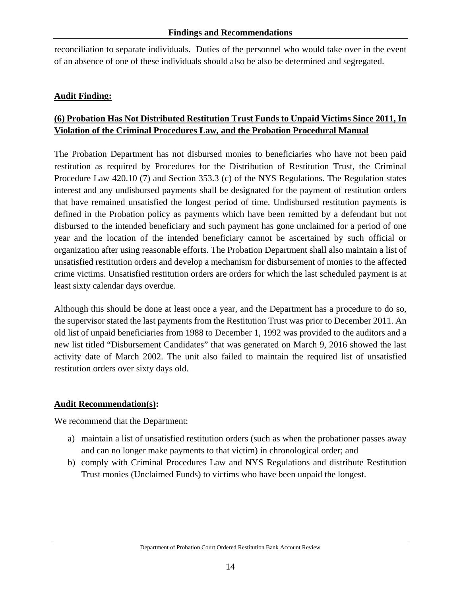reconciliation to separate individuals. Duties of the personnel who would take over in the event of an absence of one of these individuals should also be also be determined and segregated.

### **Audit Finding:**

### **(6) Probation Has Not Distributed Restitution Trust Funds to Unpaid Victims Since 2011, In Violation of the Criminal Procedures Law, and the Probation Procedural Manual**

The Probation Department has not disbursed monies to beneficiaries who have not been paid restitution as required by Procedures for the Distribution of Restitution Trust, the Criminal Procedure Law 420.10 (7) and Section 353.3 (c) of the NYS Regulations. The Regulation states interest and any undisbursed payments shall be designated for the payment of restitution orders that have remained unsatisfied the longest period of time. Undisbursed restitution payments is defined in the Probation policy as payments which have been remitted by a defendant but not disbursed to the intended beneficiary and such payment has gone unclaimed for a period of one year and the location of the intended beneficiary cannot be ascertained by such official or organization after using reasonable efforts. The Probation Department shall also maintain a list of unsatisfied restitution orders and develop a mechanism for disbursement of monies to the affected crime victims. Unsatisfied restitution orders are orders for which the last scheduled payment is at least sixty calendar days overdue.

Although this should be done at least once a year, and the Department has a procedure to do so, the supervisor stated the last payments from the Restitution Trust was prior to December 2011. An old list of unpaid beneficiaries from 1988 to December 1, 1992 was provided to the auditors and a new list titled "Disbursement Candidates" that was generated on March 9, 2016 showed the last activity date of March 2002. The unit also failed to maintain the required list of unsatisfied restitution orders over sixty days old.

### **Audit Recommendation(s):**

We recommend that the Department:

- a) maintain a list of unsatisfied restitution orders (such as when the probationer passes away and can no longer make payments to that victim) in chronological order; and
- b) comply with Criminal Procedures Law and NYS Regulations and distribute Restitution Trust monies (Unclaimed Funds) to victims who have been unpaid the longest.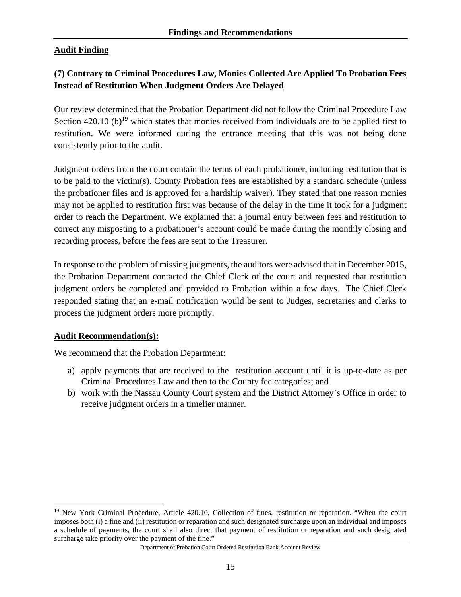### **Audit Finding**

### **(7) Contrary to Criminal Procedures Law, Monies Collected Are Applied To Probation Fees Instead of Restitution When Judgment Orders Are Delayed**

Our review determined that the Probation Department did not follow the Criminal Procedure Law Section 420.10 (b)<sup>19</sup> which states that monies received from individuals are to be applied first to restitution. We were informed during the entrance meeting that this was not being done consistently prior to the audit.

Judgment orders from the court contain the terms of each probationer, including restitution that is to be paid to the victim(s). County Probation fees are established by a standard schedule (unless the probationer files and is approved for a hardship waiver). They stated that one reason monies may not be applied to restitution first was because of the delay in the time it took for a judgment order to reach the Department. We explained that a journal entry between fees and restitution to correct any misposting to a probationer's account could be made during the monthly closing and recording process, before the fees are sent to the Treasurer.

In response to the problem of missing judgments, the auditors were advised that in December 2015, the Probation Department contacted the Chief Clerk of the court and requested that restitution judgment orders be completed and provided to Probation within a few days. The Chief Clerk responded stating that an e-mail notification would be sent to Judges, secretaries and clerks to process the judgment orders more promptly.

### **Audit Recommendation(s):**

We recommend that the Probation Department:

- a) apply payments that are received to the restitution account until it is up-to-date as per Criminal Procedures Law and then to the County fee categories; and
- b) work with the Nassau County Court system and the District Attorney's Office in order to receive judgment orders in a timelier manner.

 $\overline{a}$ <sup>19</sup> New York Criminal Procedure, Article 420.10, Collection of fines, restitution or reparation. "When the court imposes both (i) a fine and (ii) restitution or reparation and such designated surcharge upon an individual and imposes a schedule of payments, the court shall also direct that payment of restitution or reparation and such designated surcharge take priority over the payment of the fine."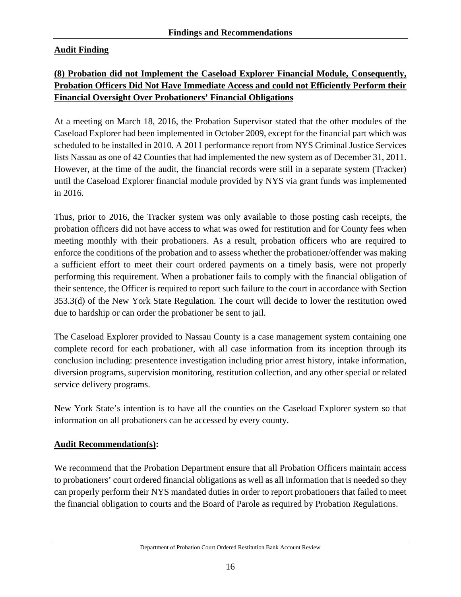### **Audit Finding**

### **(8) Probation did not Implement the Caseload Explorer Financial Module, Consequently, Probation Officers Did Not Have Immediate Access and could not Efficiently Perform their Financial Oversight Over Probationers' Financial Obligations**

At a meeting on March 18, 2016, the Probation Supervisor stated that the other modules of the Caseload Explorer had been implemented in October 2009, except for the financial part which was scheduled to be installed in 2010. A 2011 performance report from NYS Criminal Justice Services lists Nassau as one of 42 Counties that had implemented the new system as of December 31, 2011. However, at the time of the audit, the financial records were still in a separate system (Tracker) until the Caseload Explorer financial module provided by NYS via grant funds was implemented in 2016.

Thus, prior to 2016, the Tracker system was only available to those posting cash receipts, the probation officers did not have access to what was owed for restitution and for County fees when meeting monthly with their probationers. As a result, probation officers who are required to enforce the conditions of the probation and to assess whether the probationer/offender was making a sufficient effort to meet their court ordered payments on a timely basis, were not properly performing this requirement. When a probationer fails to comply with the financial obligation of their sentence, the Officer is required to report such failure to the court in accordance with Section 353.3(d) of the New York State Regulation. The court will decide to lower the restitution owed due to hardship or can order the probationer be sent to jail.

The Caseload Explorer provided to Nassau County is a case management system containing one complete record for each probationer, with all case information from its inception through its conclusion including: presentence investigation including prior arrest history, intake information, diversion programs, supervision monitoring, restitution collection, and any other special or related service delivery programs.

New York State's intention is to have all the counties on the Caseload Explorer system so that information on all probationers can be accessed by every county.

### **Audit Recommendation(s):**

We recommend that the Probation Department ensure that all Probation Officers maintain access to probationers' court ordered financial obligations as well as all information that is needed so they can properly perform their NYS mandated duties in order to report probationers that failed to meet the financial obligation to courts and the Board of Parole as required by Probation Regulations.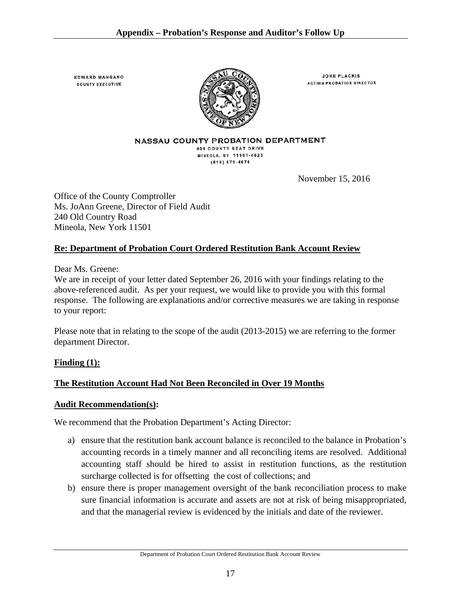**EDWARD MANGANO COUNTY EXECUTIVE** 



**JOHN PLACKIS ACTING PROBATION DIRECTOR** 

NASSAU COUNTY PROBATION DEPARTMENT 400 COUNTY SEAT DRIVE MINEOLA, NY 11501-4823  $(516) 571 - 4676$ 

November 15, 2016

Office of the County Comptroller Ms. JoAnn Greene, Director of Field Audit 240 Old Country Road Mineola, New York 11501

### **Re: Department of Probation Court Ordered Restitution Bank Account Review**

Dear Ms. Greene:

We are in receipt of your letter dated September 26, 2016 with your findings relating to the above-referenced audit. As per your request, we would like to provide you with this formal response. The following are explanations and/or corrective measures we are taking in response to your report:

Please note that in relating to the scope of the audit (2013-2015) we are referring to the former department Director.

### **Finding (1):**

### **The Restitution Account Had Not Been Reconciled in Over 19 Months**

### **Audit Recommendation(s):**

We recommend that the Probation Department's Acting Director:

- a) ensure that the restitution bank account balance is reconciled to the balance in Probation's accounting records in a timely manner and all reconciling items are resolved. Additional accounting staff should be hired to assist in restitution functions, as the restitution surcharge collected is for offsetting the cost of collections; and
- b) ensure there is proper management oversight of the bank reconciliation process to make sure financial information is accurate and assets are not at risk of being misappropriated, and that the managerial review is evidenced by the initials and date of the reviewer.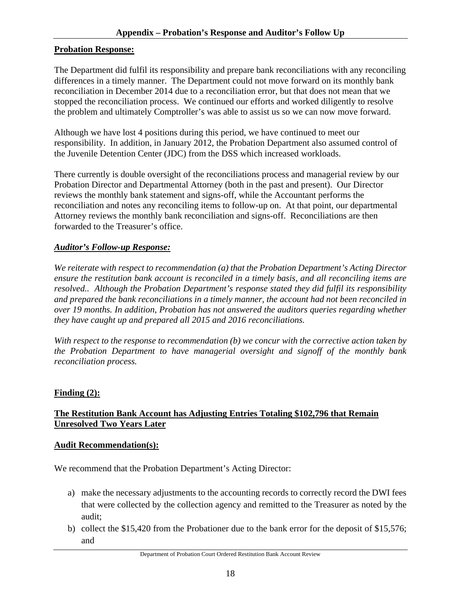#### **Probation Response:**

The Department did fulfil its responsibility and prepare bank reconciliations with any reconciling differences in a timely manner. The Department could not move forward on its monthly bank reconciliation in December 2014 due to a reconciliation error, but that does not mean that we stopped the reconciliation process. We continued our efforts and worked diligently to resolve the problem and ultimately Comptroller's was able to assist us so we can now move forward.

Although we have lost 4 positions during this period, we have continued to meet our responsibility. In addition, in January 2012, the Probation Department also assumed control of the Juvenile Detention Center (JDC) from the DSS which increased workloads.

There currently is double oversight of the reconciliations process and managerial review by our Probation Director and Departmental Attorney (both in the past and present). Our Director reviews the monthly bank statement and signs-off, while the Accountant performs the reconciliation and notes any reconciling items to follow-up on. At that point, our departmental Attorney reviews the monthly bank reconciliation and signs-off. Reconciliations are then forwarded to the Treasurer's office.

### *Auditor's Follow-up Response:*

*We reiterate with respect to recommendation (a) that the Probation Department's Acting Director ensure the restitution bank account is reconciled in a timely basis, and all reconciling items are resolved.. Although the Probation Department's response stated they did fulfil its responsibility and prepared the bank reconciliations in a timely manner, the account had not been reconciled in over 19 months. In addition, Probation has not answered the auditors queries regarding whether they have caught up and prepared all 2015 and 2016 reconciliations.* 

*With respect to the response to recommendation (b) we concur with the corrective action taken by the Probation Department to have managerial oversight and signoff of the monthly bank reconciliation process.*

### **Finding (2):**

### **The Restitution Bank Account has Adjusting Entries Totaling \$102,796 that Remain Unresolved Two Years Later**

#### **Audit Recommendation(s):**

We recommend that the Probation Department's Acting Director:

- a) make the necessary adjustments to the accounting records to correctly record the DWI fees that were collected by the collection agency and remitted to the Treasurer as noted by the audit;
- b) collect the \$15,420 from the Probationer due to the bank error for the deposit of \$15,576; and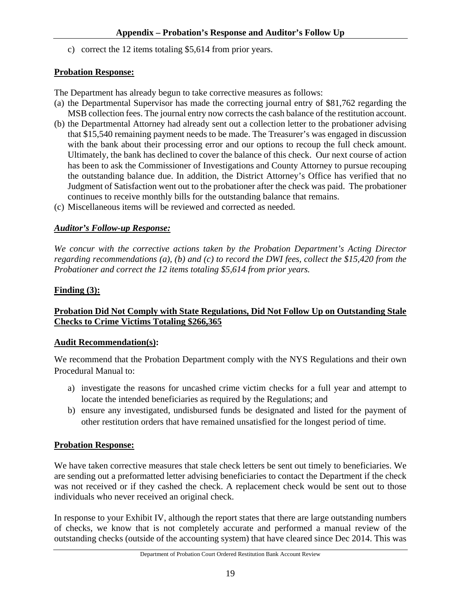c) correct the 12 items totaling \$5,614 from prior years.

### **Probation Response:**

The Department has already begun to take corrective measures as follows:

- (a) the Departmental Supervisor has made the correcting journal entry of \$81,762 regarding the MSB collection fees. The journal entry now corrects the cash balance of the restitution account.
- (b) the Departmental Attorney had already sent out a collection letter to the probationer advising that \$15,540 remaining payment needs to be made. The Treasurer's was engaged in discussion with the bank about their processing error and our options to recoup the full check amount. Ultimately, the bank has declined to cover the balance of this check. Our next course of action has been to ask the Commissioner of Investigations and County Attorney to pursue recouping the outstanding balance due. In addition, the District Attorney's Office has verified that no Judgment of Satisfaction went out to the probationer after the check was paid. The probationer continues to receive monthly bills for the outstanding balance that remains.
- (c) Miscellaneous items will be reviewed and corrected as needed.

### *Auditor's Follow-up Response:*

*We concur with the corrective actions taken by the Probation Department's Acting Director regarding recommendations (a), (b) and (c) to record the DWI fees, collect the \$15,420 from the Probationer and correct the 12 items totaling \$5,614 from prior years.* 

### **Finding (3):**

### **Probation Did Not Comply with State Regulations, Did Not Follow Up on Outstanding Stale Checks to Crime Victims Totaling \$266,365**

### **Audit Recommendation(s):**

We recommend that the Probation Department comply with the NYS Regulations and their own Procedural Manual to:

- a) investigate the reasons for uncashed crime victim checks for a full year and attempt to locate the intended beneficiaries as required by the Regulations; and
- b) ensure any investigated, undisbursed funds be designated and listed for the payment of other restitution orders that have remained unsatisfied for the longest period of time.

### **Probation Response:**

We have taken corrective measures that stale check letters be sent out timely to beneficiaries. We are sending out a preformatted letter advising beneficiaries to contact the Department if the check was not received or if they cashed the check. A replacement check would be sent out to those individuals who never received an original check.

In response to your Exhibit IV, although the report states that there are large outstanding numbers of checks, we know that is not completely accurate and performed a manual review of the outstanding checks (outside of the accounting system) that have cleared since Dec 2014. This was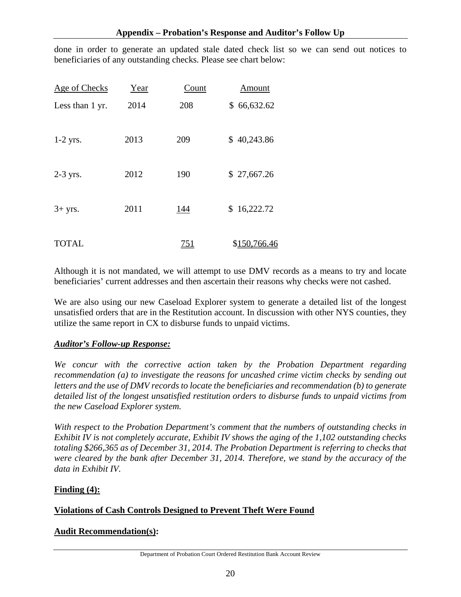done in order to generate an updated stale dated check list so we can send out notices to beneficiaries of any outstanding checks. Please see chart below:

| Age of Checks   | Year | Count      | Amount       |
|-----------------|------|------------|--------------|
| Less than 1 yr. | 2014 | 208        | \$66,632.62  |
| $1-2$ yrs.      | 2013 | 209        | \$40,243.86  |
| $2-3$ yrs.      | 2012 | 190        | \$27,667.26  |
| $3+$ yrs.       | 2011 | 144        | \$16,222.72  |
| <b>TOTAL</b>    |      | <u>751</u> | \$150,766.46 |

Although it is not mandated, we will attempt to use DMV records as a means to try and locate beneficiaries' current addresses and then ascertain their reasons why checks were not cashed.

We are also using our new Caseload Explorer system to generate a detailed list of the longest unsatisfied orders that are in the Restitution account. In discussion with other NYS counties, they utilize the same report in CX to disburse funds to unpaid victims.

### *Auditor's Follow-up Response:*

*We concur with the corrective action taken by the Probation Department regarding recommendation (a) to investigate the reasons for uncashed crime victim checks by sending out letters and the use of DMV records to locate the beneficiaries and recommendation (b) to generate detailed list of the longest unsatisfied restitution orders to disburse funds to unpaid victims from the new Caseload Explorer system.* 

*With respect to the Probation Department's comment that the numbers of outstanding checks in Exhibit IV is not completely accurate, Exhibit IV shows the aging of the 1,102 outstanding checks totaling \$266,365 as of December 31, 2014. The Probation Department is referring to checks that were cleared by the bank after December 31, 2014. Therefore, we stand by the accuracy of the data in Exhibit IV.* 

#### **Finding (4):**

### **Violations of Cash Controls Designed to Prevent Theft Were Found**

#### **Audit Recommendation(s):**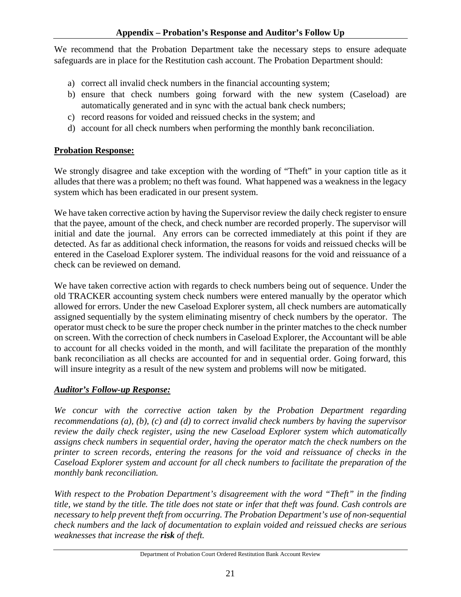We recommend that the Probation Department take the necessary steps to ensure adequate safeguards are in place for the Restitution cash account. The Probation Department should:

- a) correct all invalid check numbers in the financial accounting system;
- b) ensure that check numbers going forward with the new system (Caseload) are automatically generated and in sync with the actual bank check numbers;
- c) record reasons for voided and reissued checks in the system; and
- d) account for all check numbers when performing the monthly bank reconciliation.

### **Probation Response:**

We strongly disagree and take exception with the wording of "Theft" in your caption title as it alludes that there was a problem; no theft was found. What happened was a weakness in the legacy system which has been eradicated in our present system.

We have taken corrective action by having the Supervisor review the daily check register to ensure that the payee, amount of the check, and check number are recorded properly. The supervisor will initial and date the journal. Any errors can be corrected immediately at this point if they are detected. As far as additional check information, the reasons for voids and reissued checks will be entered in the Caseload Explorer system. The individual reasons for the void and reissuance of a check can be reviewed on demand.

We have taken corrective action with regards to check numbers being out of sequence. Under the old TRACKER accounting system check numbers were entered manually by the operator which allowed for errors. Under the new Caseload Explorer system, all check numbers are automatically assigned sequentially by the system eliminating misentry of check numbers by the operator. The operator must check to be sure the proper check number in the printer matches to the check number on screen. With the correction of check numbers in Caseload Explorer, the Accountant will be able to account for all checks voided in the month, and will facilitate the preparation of the monthly bank reconciliation as all checks are accounted for and in sequential order. Going forward, this will insure integrity as a result of the new system and problems will now be mitigated.

### *Auditor's Follow-up Response:*

*We concur with the corrective action taken by the Probation Department regarding recommendations (a), (b), (c) and (d) to correct invalid check numbers by having the supervisor review the daily check register, using the new Caseload Explorer system which automatically assigns check numbers in sequential order, having the operator match the check numbers on the printer to screen records, entering the reasons for the void and reissuance of checks in the Caseload Explorer system and account for all check numbers to facilitate the preparation of the monthly bank reconciliation.* 

*With respect to the Probation Department's disagreement with the word "Theft" in the finding title, we stand by the title. The title does not state or infer that theft was found. Cash controls are necessary to help prevent theft from occurring. The Probation Department's use of non-sequential check numbers and the lack of documentation to explain voided and reissued checks are serious weaknesses that increase the risk of theft.*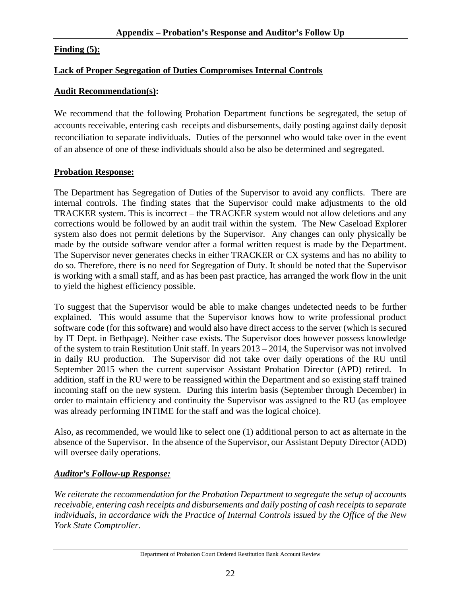### **Finding (5):**

### **Lack of Proper Segregation of Duties Compromises Internal Controls**

#### **Audit Recommendation(s):**

We recommend that the following Probation Department functions be segregated, the setup of accounts receivable, entering cash receipts and disbursements, daily posting against daily deposit reconciliation to separate individuals. Duties of the personnel who would take over in the event of an absence of one of these individuals should also be also be determined and segregated.

### **Probation Response:**

The Department has Segregation of Duties of the Supervisor to avoid any conflicts. There are internal controls. The finding states that the Supervisor could make adjustments to the old TRACKER system. This is incorrect – the TRACKER system would not allow deletions and any corrections would be followed by an audit trail within the system. The New Caseload Explorer system also does not permit deletions by the Supervisor. Any changes can only physically be made by the outside software vendor after a formal written request is made by the Department. The Supervisor never generates checks in either TRACKER or CX systems and has no ability to do so. Therefore, there is no need for Segregation of Duty. It should be noted that the Supervisor is working with a small staff, and as has been past practice, has arranged the work flow in the unit to yield the highest efficiency possible.

To suggest that the Supervisor would be able to make changes undetected needs to be further explained. This would assume that the Supervisor knows how to write professional product software code (for this software) and would also have direct access to the server (which is secured by IT Dept. in Bethpage). Neither case exists. The Supervisor does however possess knowledge of the system to train Restitution Unit staff. In years 2013 – 2014, the Supervisor was not involved in daily RU production. The Supervisor did not take over daily operations of the RU until September 2015 when the current supervisor Assistant Probation Director (APD) retired. In addition, staff in the RU were to be reassigned within the Department and so existing staff trained incoming staff on the new system. During this interim basis (September through December) in order to maintain efficiency and continuity the Supervisor was assigned to the RU (as employee was already performing INTIME for the staff and was the logical choice).

Also, as recommended, we would like to select one (1) additional person to act as alternate in the absence of the Supervisor. In the absence of the Supervisor, our Assistant Deputy Director (ADD) will oversee daily operations.

### *Auditor's Follow-up Response:*

*We reiterate the recommendation for the Probation Department to segregate the setup of accounts receivable, entering cash receipts and disbursements and daily posting of cash receipts to separate individuals, in accordance with the Practice of Internal Controls issued by the Office of the New York State Comptroller.*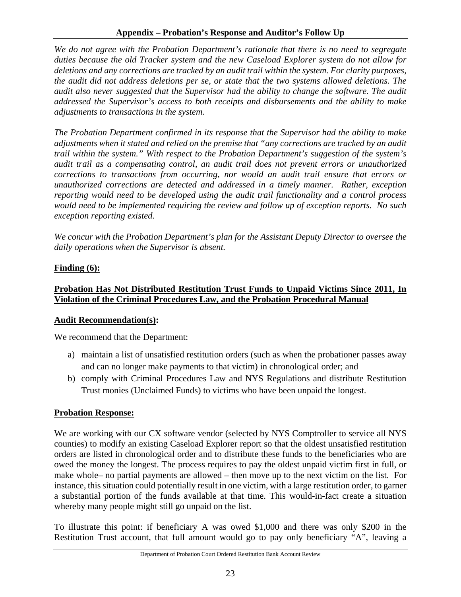*We do not agree with the Probation Department's rationale that there is no need to segregate duties because the old Tracker system and the new Caseload Explorer system do not allow for deletions and any corrections are tracked by an audit trail within the system. For clarity purposes, the audit did not address deletions per se, or state that the two systems allowed deletions. The audit also never suggested that the Supervisor had the ability to change the software. The audit addressed the Supervisor's access to both receipts and disbursements and the ability to make adjustments to transactions in the system.* 

*The Probation Department confirmed in its response that the Supervisor had the ability to make adjustments when it stated and relied on the premise that "any corrections are tracked by an audit trail within the system." With respect to the Probation Department's suggestion of the system's audit trail as a compensating control, an audit trail does not prevent errors or unauthorized corrections to transactions from occurring, nor would an audit trail ensure that errors or unauthorized corrections are detected and addressed in a timely manner. Rather, exception reporting would need to be developed using the audit trail functionality and a control process would need to be implemented requiring the review and follow up of exception reports. No such exception reporting existed.* 

*We concur with the Probation Department's plan for the Assistant Deputy Director to oversee the daily operations when the Supervisor is absent.* 

### **Finding (6):**

### **Probation Has Not Distributed Restitution Trust Funds to Unpaid Victims Since 2011, In Violation of the Criminal Procedures Law, and the Probation Procedural Manual**

### **Audit Recommendation(s):**

We recommend that the Department:

- a) maintain a list of unsatisfied restitution orders (such as when the probationer passes away and can no longer make payments to that victim) in chronological order; and
- b) comply with Criminal Procedures Law and NYS Regulations and distribute Restitution Trust monies (Unclaimed Funds) to victims who have been unpaid the longest.

### **Probation Response:**

We are working with our CX software vendor (selected by NYS Comptroller to service all NYS counties) to modify an existing Caseload Explorer report so that the oldest unsatisfied restitution orders are listed in chronological order and to distribute these funds to the beneficiaries who are owed the money the longest. The process requires to pay the oldest unpaid victim first in full, or make whole– no partial payments are allowed – then move up to the next victim on the list. For instance, this situation could potentially result in one victim, with a large restitution order, to garner a substantial portion of the funds available at that time. This would-in-fact create a situation whereby many people might still go unpaid on the list.

To illustrate this point: if beneficiary A was owed \$1,000 and there was only \$200 in the Restitution Trust account, that full amount would go to pay only beneficiary "A", leaving a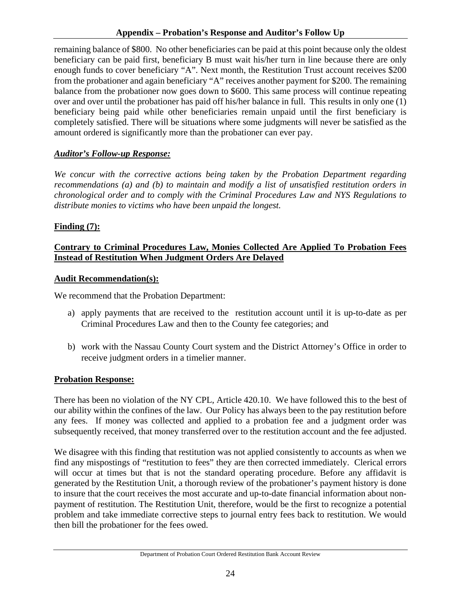remaining balance of \$800. No other beneficiaries can be paid at this point because only the oldest beneficiary can be paid first, beneficiary B must wait his/her turn in line because there are only enough funds to cover beneficiary "A". Next month, the Restitution Trust account receives \$200 from the probationer and again beneficiary "A" receives another payment for \$200. The remaining balance from the probationer now goes down to \$600. This same process will continue repeating over and over until the probationer has paid off his/her balance in full. This results in only one (1) beneficiary being paid while other beneficiaries remain unpaid until the first beneficiary is completely satisfied. There will be situations where some judgments will never be satisfied as the amount ordered is significantly more than the probationer can ever pay.

### *Auditor's Follow-up Response:*

*We concur with the corrective actions being taken by the Probation Department regarding recommendations (a) and (b) to maintain and modify a list of unsatisfied restitution orders in chronological order and to comply with the Criminal Procedures Law and NYS Regulations to distribute monies to victims who have been unpaid the longest.* 

### **Finding (7):**

### **Contrary to Criminal Procedures Law, Monies Collected Are Applied To Probation Fees Instead of Restitution When Judgment Orders Are Delayed**

### **Audit Recommendation(s):**

We recommend that the Probation Department:

- a) apply payments that are received to the restitution account until it is up-to-date as per Criminal Procedures Law and then to the County fee categories; and
- b) work with the Nassau County Court system and the District Attorney's Office in order to receive judgment orders in a timelier manner.

### **Probation Response:**

There has been no violation of the NY CPL, Article 420.10. We have followed this to the best of our ability within the confines of the law. Our Policy has always been to the pay restitution before any fees. If money was collected and applied to a probation fee and a judgment order was subsequently received, that money transferred over to the restitution account and the fee adjusted.

We disagree with this finding that restitution was not applied consistently to accounts as when we find any mispostings of "restitution to fees" they are then corrected immediately. Clerical errors will occur at times but that is not the standard operating procedure. Before any affidavit is generated by the Restitution Unit, a thorough review of the probationer's payment history is done to insure that the court receives the most accurate and up-to-date financial information about nonpayment of restitution. The Restitution Unit, therefore, would be the first to recognize a potential problem and take immediate corrective steps to journal entry fees back to restitution. We would then bill the probationer for the fees owed.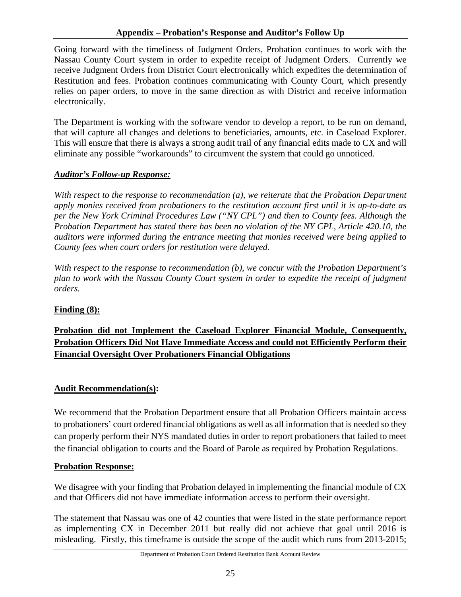### **Appendix – Probation's Response and Auditor's Follow Up**

Going forward with the timeliness of Judgment Orders, Probation continues to work with the Nassau County Court system in order to expedite receipt of Judgment Orders. Currently we receive Judgment Orders from District Court electronically which expedites the determination of Restitution and fees. Probation continues communicating with County Court, which presently relies on paper orders, to move in the same direction as with District and receive information electronically.

The Department is working with the software vendor to develop a report, to be run on demand, that will capture all changes and deletions to beneficiaries, amounts, etc. in Caseload Explorer. This will ensure that there is always a strong audit trail of any financial edits made to CX and will eliminate any possible "workarounds" to circumvent the system that could go unnoticed.

### *Auditor's Follow-up Response:*

*With respect to the response to recommendation (a), we reiterate that the Probation Department apply monies received from probationers to the restitution account first until it is up-to-date as per the New York Criminal Procedures Law ("NY CPL") and then to County fees. Although the Probation Department has stated there has been no violation of the NY CPL, Article 420.10, the auditors were informed during the entrance meeting that monies received were being applied to County fees when court orders for restitution were delayed.* 

*With respect to the response to recommendation (b), we concur with the Probation Department's plan to work with the Nassau County Court system in order to expedite the receipt of judgment orders.* 

### **Finding (8):**

### **Probation did not Implement the Caseload Explorer Financial Module, Consequently, Probation Officers Did Not Have Immediate Access and could not Efficiently Perform their Financial Oversight Over Probationers Financial Obligations**

### **Audit Recommendation(s):**

We recommend that the Probation Department ensure that all Probation Officers maintain access to probationers' court ordered financial obligations as well as all information that is needed so they can properly perform their NYS mandated duties in order to report probationers that failed to meet the financial obligation to courts and the Board of Parole as required by Probation Regulations.

### **Probation Response:**

We disagree with your finding that Probation delayed in implementing the financial module of CX and that Officers did not have immediate information access to perform their oversight.

The statement that Nassau was one of 42 counties that were listed in the state performance report as implementing CX in December 2011 but really did not achieve that goal until 2016 is misleading. Firstly, this timeframe is outside the scope of the audit which runs from 2013-2015;